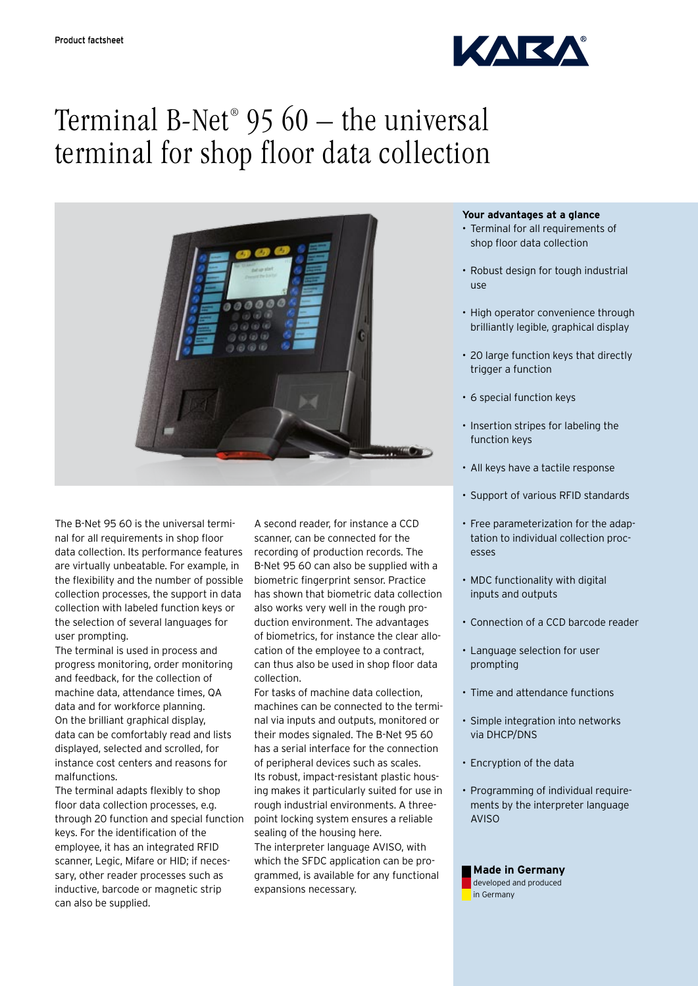

# Terminal B-Net® 95 60 – the universal terminal for shop floor data collection



The B-Net 95 60 is the universal terminal for all requirements in shop floor data collection. Its performance features are virtually unbeatable. For example, in the flexibility and the number of possible collection processes, the support in data collection with labeled function keys or the selection of several languages for user prompting.

The terminal is used in process and progress monitoring, order monitoring and feedback, for the collection of machine data, attendance times, QA data and for workforce planning. On the brilliant graphical display, data can be comfortably read and lists displayed, selected and scrolled, for instance cost centers and reasons for malfunctions.

The terminal adapts flexibly to shop floor data collection processes, e.g. through 20 function and special function keys. For the identification of the employee, it has an integrated RFID scanner, Legic, Mifare or HID; if necessary, other reader processes such as inductive, barcode or magnetic strip can also be supplied.

A second reader, for instance a CCD scanner, can be connected for the recording of production records. The B-Net 95 60 can also be supplied with a biometric fingerprint sensor. Practice has shown that biometric data collection also works very well in the rough production environment. The advantages of biometrics, for instance the clear allocation of the employee to a contract, can thus also be used in shop floor data collection.

For tasks of machine data collection, machines can be connected to the terminal via inputs and outputs, monitored or their modes signaled. The B-Net 95 60 has a serial interface for the connection of peripheral devices such as scales. Its robust, impact-resistant plastic housing makes it particularly suited for use in rough industrial environments. A threepoint locking system ensures a reliable sealing of the housing here. The interpreter language AVISO, with which the SFDC application can be programmed, is available for any functional expansions necessary.

# **Your advantages at a glance**

- Terminal for all requirements of shop floor data collection
- • Robust design for tough industrial use
- High operator convenience through brilliantly legible, graphical display
- 20 large function keys that directly trigger a function
- • 6 special function keys
- Insertion stripes for labeling the function keys
- All keys have a tactile response
- Support of various RFID standards
- Free parameterization for the adaptation to individual collection processes
- MDC functionality with digital inputs and outputs
- Connection of a CCD barcode reader
- • Language selection for user prompting
- Time and attendance functions
- • Simple integration into networks via DHCP/DNS
- Encryption of the data
- Programming of individual requirements by the interpreter language AVISO

## **Made in Germany** developed and produced in Germany